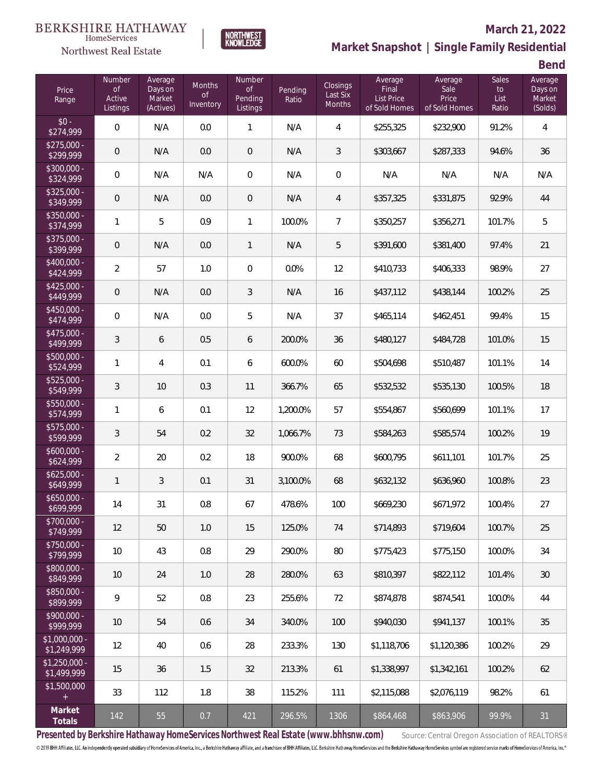# $\begin{matrix} \texttt{BERKSHIRE\ HATHAWAY}\footnotesize\texttt{Hom}\texttt{S} \texttt{e} \texttt{V} \texttt{R} \texttt{G} \texttt{P} \texttt{G} \texttt{P} \texttt{G} \texttt{P} \texttt{G} \texttt{P} \texttt{G} \texttt{P} \texttt{G} \texttt{P} \texttt{G} \texttt{P} \texttt{G} \texttt{P} \texttt{G} \texttt{P} \texttt{G} \texttt{P} \texttt{G} \texttt{P} \texttt{G} \texttt{P} \texttt{G} \texttt{P} \texttt{G} \texttt{P} \$

Northwest Real Estate

### **March 21, 2022**

**Market Snapshot | Single Family Residential**

**Bend**

| Price<br>Range                | Number<br><b>of</b><br>Active<br>Listings | Average<br>Days on<br>Market<br>(Actives) | <b>Months</b><br><b>of</b><br>Inventory | Number<br><b>of</b><br>Pending<br>Listings | Pending<br>Ratio | Closings<br>Last Six<br>Months | Average<br>Final<br><b>List Price</b><br>of Sold Homes | Average<br>Sale<br>Price<br>of Sold Homes | <b>Sales</b><br>to<br>List<br>Ratio | Average<br>Days on<br>Market<br>(Solds) |
|-------------------------------|-------------------------------------------|-------------------------------------------|-----------------------------------------|--------------------------------------------|------------------|--------------------------------|--------------------------------------------------------|-------------------------------------------|-------------------------------------|-----------------------------------------|
| $$0 -$<br>\$274,999           | $\overline{0}$                            | N/A                                       | 0.0                                     | 1                                          | N/A              | 4                              | \$255,325                                              | \$232,900                                 | 91.2%                               | $\overline{4}$                          |
| $$275,000 -$<br>\$299,999     | $\theta$                                  | N/A                                       | 0.0                                     | $\mathbf 0$                                | N/A              | 3                              | \$303,667                                              | \$287,333                                 | 94.6%                               | 36                                      |
| \$300,000 -<br>\$324,999      | $\overline{0}$                            | N/A                                       | N/A                                     | 0                                          | N/A              | $\overline{0}$                 | N/A                                                    | N/A                                       | N/A                                 | N/A                                     |
| \$325,000 -<br>\$349,999      | $\overline{0}$                            | N/A                                       | 0.0                                     | 0                                          | N/A              | 4                              | \$357,325                                              | \$331,875                                 | 92.9%                               | 44                                      |
| $$350.000 -$<br>\$374,999     | 1                                         | 5                                         | 0.9                                     | $\mathbf{1}$                               | 100.0%           | $\overline{7}$                 | \$350,257                                              | \$356,271                                 | 101.7%                              | 5                                       |
| \$375,000 -<br>\$399,999      | $\mathbf 0$                               | N/A                                       | 0.0                                     | 1                                          | N/A              | 5                              | \$391,600                                              | \$381,400                                 | 97.4%                               | 21                                      |
| \$400,000 -<br>\$424,999      | $\overline{2}$                            | 57                                        | 1.0                                     | $\mathbf 0$                                | 0.0%             | 12                             | \$410,733                                              | \$406,333                                 | 98.9%                               | 27                                      |
| $$425,000 -$<br>\$449,999     | $\mathbf 0$                               | N/A                                       | 0.0                                     | $\sqrt{3}$                                 | N/A              | 16                             | \$437,112                                              | \$438,144                                 | 100.2%                              | 25                                      |
| $$450,000 -$<br>\$474,999     | $\overline{0}$                            | N/A                                       | 0.0                                     | 5                                          | N/A              | 37                             | \$465,114                                              | \$462,451                                 | 99.4%                               | 15                                      |
| \$475,000 -<br>\$499,999      | $\mathfrak{Z}$                            | 6                                         | 0.5                                     | 6                                          | 200.0%           | 36                             | \$480,127                                              | \$484,728                                 | 101.0%                              | 15                                      |
| \$500,000 -<br>\$524,999      | 1                                         | $\overline{4}$                            | 0.1                                     | 6                                          | 600.0%           | 60                             | \$504,698                                              | \$510,487                                 | 101.1%                              | 14                                      |
| \$525,000 -<br>\$549,999      | 3                                         | 10                                        | 0.3                                     | 11                                         | 366.7%           | 65                             | \$532,532                                              | \$535,130                                 | 100.5%                              | 18                                      |
| \$550,000 -<br>\$574,999      | 1                                         | 6                                         | 0.1                                     | 12                                         | 1,200.0%         | 57                             | \$554,867                                              | \$560,699                                 | 101.1%                              | 17                                      |
| \$575,000 -<br>\$599,999      | $\mathfrak{Z}$                            | 54                                        | 0.2                                     | 32                                         | 1,066.7%         | 73                             | \$584,263                                              | \$585,574                                 | 100.2%                              | 19                                      |
| $$600,000 -$<br>\$624,999     | $\overline{2}$                            | 20                                        | 0.2                                     | 18                                         | 900.0%           | 68                             | \$600,795                                              | \$611,101                                 | 101.7%                              | 25                                      |
| $$625,000 -$<br>\$649,999     | $\mathbf{1}$                              | 3                                         | 0.1                                     | 31                                         | 3,100.0%         | 68                             | \$632,132                                              | \$636,960                                 | 100.8%                              | 23                                      |
| $$650,000 -$<br>\$699,999     | 14                                        | 31                                        | $0.8\,$                                 | 67                                         | 478.6%           | 100                            | \$669,230                                              | \$671,972                                 | 100.4%                              | 27                                      |
| \$700,000 -<br>\$749,999      | 12                                        | 50                                        | 1.0                                     | 15                                         | 125.0%           | 74                             | \$714,893                                              | \$719,604                                 | 100.7%                              | 25                                      |
| $$750,000 -$<br>\$799,999     | 10                                        | 43                                        | 0.8                                     | 29                                         | 290.0%           | 80                             | \$775,423                                              | \$775,150                                 | 100.0%                              | 34                                      |
| \$800,000 -<br>\$849,999      | 10                                        | 24                                        | 1.0                                     | 28                                         | 280.0%           | 63                             | \$810,397                                              | \$822,112                                 | 101.4%                              | 30                                      |
| \$850,000 -<br>\$899,999      | 9                                         | 52                                        | 0.8                                     | 23                                         | 255.6%           | 72                             | \$874,878                                              | \$874,541                                 | 100.0%                              | 44                                      |
| \$900,000 -<br>\$999,999      | 10                                        | 54                                        | 0.6                                     | 34                                         | 340.0%           | 100                            | \$940,030                                              | \$941,137                                 | 100.1%                              | 35                                      |
| $$1,000,000 -$<br>\$1,249,999 | 12                                        | 40                                        | 0.6                                     | 28                                         | 233.3%           | 130                            | \$1,118,706                                            | \$1,120,386                               | 100.2%                              | 29                                      |
| $$1,250,000 -$<br>\$1,499,999 | 15                                        | 36                                        | 1.5                                     | 32                                         | 213.3%           | 61                             | \$1,338,997                                            | \$1,342,161                               | 100.2%                              | 62                                      |
| \$1,500,000<br>$+$            | 33                                        | 112                                       | 1.8                                     | 38                                         | 115.2%           | 111                            | \$2,115,088                                            | \$2,076,119                               | 98.2%                               | 61                                      |
| Market<br>Totals              | 142                                       | 55                                        | 0.7                                     | 421                                        | 296.5%           | 1306                           | \$864,468                                              | \$863,906                                 | 99.9%                               | 31                                      |

**NORTHWEST**<br>KNOWLEDGE

Presented by Berkshire Hathaway HomeServices Northwest Real Estate (www.bhhsnw.com) source: Central Oregon Association of REALTORS®

© 2019 BHH Affiliates, LLC. An independently operated subsidiary of HomeServices of America, Inc., a Berkshire Hathaway affiliate, and a franchisee of BHH Affiliates, LLC. Berkshire Hathaway HomeServices and the Berkshire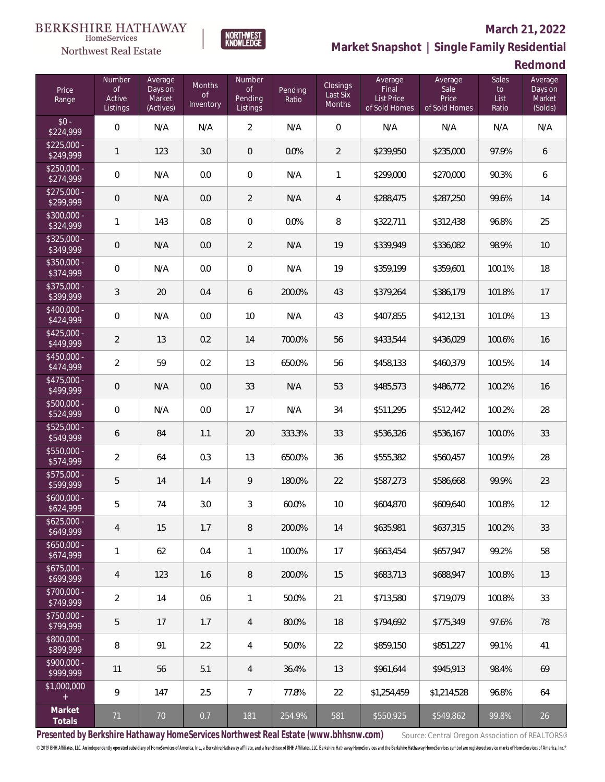# $\begin{matrix} \texttt{BERKSHIRE\ HATHAWAY}\footnotesize\texttt{Hom}\texttt{S} \texttt{e} \texttt{V} \texttt{R} \texttt{G} \texttt{P} \texttt{G} \texttt{P} \texttt{G} \texttt{P} \texttt{G} \texttt{P} \texttt{G} \texttt{P} \texttt{G} \texttt{P} \texttt{G} \texttt{P} \texttt{G} \texttt{P} \texttt{G} \texttt{P} \texttt{G} \texttt{P} \texttt{G} \texttt{P} \texttt{G} \texttt{P} \texttt{G} \texttt{P} \texttt{G} \texttt{P} \$

Northwest Real Estate

#### **March 21, 2022**

**Market Snapshot | Single Family Residential**

**Redmond**

| Price<br>Range                       | <b>Number</b><br><b>of</b><br>Active<br>Listings | Average<br>Days on<br>Market<br>(Actives) | <b>Months</b><br><b>of</b><br>Inventory | Number<br>of<br>Pending<br>Listings | Pending<br>Ratio | Closings<br>Last Six<br>Months | Average<br>Final<br><b>List Price</b><br>of Sold Homes | Average<br>Sale<br>Price<br>of Sold Homes | <b>Sales</b><br>to<br>List<br>Ratio | Average<br>Days on<br>Market<br>(Solds) |
|--------------------------------------|--------------------------------------------------|-------------------------------------------|-----------------------------------------|-------------------------------------|------------------|--------------------------------|--------------------------------------------------------|-------------------------------------------|-------------------------------------|-----------------------------------------|
| $$0 -$<br>\$224,999                  | $\overline{0}$                                   | N/A                                       | N/A                                     | $\overline{2}$                      | N/A              | $\overline{0}$                 | N/A                                                    | N/A                                       | N/A                                 | N/A                                     |
| $$225,000 -$<br>\$249,999            | $\mathbf{1}$                                     | 123                                       | 3.0                                     | 0                                   | 0.0%             | 2                              | \$239,950                                              | \$235,000                                 | 97.9%                               | 6                                       |
| $$250,000 -$<br>\$274,999            | $\mathbf 0$                                      | N/A                                       | 0.0                                     | $\mathbf 0$                         | N/A              | $\mathbf{1}$                   | \$299,000                                              | \$270,000                                 | 90.3%                               | 6                                       |
| $$275,000 -$<br>\$299,999            | $\mathbf 0$                                      | N/A                                       | 0.0                                     | $\overline{2}$                      | N/A              | 4                              | \$288,475                                              | \$287,250                                 | 99.6%                               | 14                                      |
| $$300,000 -$<br>\$324,999            | $\mathbf{1}$                                     | 143                                       | 0.8                                     | $\boldsymbol{0}$                    | 0.0%             | 8                              | \$322,711                                              | \$312,438                                 | 96.8%                               | 25                                      |
| $$325,000 -$<br>\$349,999            | $\mathbf 0$                                      | N/A                                       | 0.0                                     | $\overline{2}$                      | N/A              | 19                             | \$339,949                                              | \$336,082                                 | 98.9%                               | 10                                      |
| $$350,000 -$<br>\$374,999            | $\overline{0}$                                   | N/A                                       | 0.0                                     | $\overline{0}$                      | N/A              | 19                             | \$359,199                                              | \$359,601                                 | 100.1%                              | 18                                      |
| $$375,000 -$<br>\$399,999            | $\mathfrak{Z}$                                   | 20                                        | 0.4                                     | 6                                   | 200.0%           | 43                             | \$379,264                                              | \$386,179                                 | 101.8%                              | 17                                      |
| $$400,000 -$<br>\$424,999            | $\overline{0}$                                   | N/A                                       | 0.0                                     | 10                                  | N/A              | 43                             | \$407,855                                              | \$412,131                                 | 101.0%                              | 13                                      |
| $$425,000 -$<br>\$449,999            | $\overline{2}$                                   | 13                                        | 0.2                                     | 14                                  | 700.0%           | 56                             | \$433,544                                              | \$436,029                                 | 100.6%                              | 16                                      |
| $$450,000 -$<br>\$474,999            | $\overline{2}$                                   | 59                                        | 0.2                                     | 13                                  | 650.0%           | 56                             | \$458,133                                              | \$460,379                                 | 100.5%                              | 14                                      |
| $$475,000 -$<br>\$499,999            | $\mathbf 0$                                      | N/A                                       | 0.0                                     | 33                                  | N/A              | 53                             | \$485,573                                              | \$486,772                                 | 100.2%                              | 16                                      |
| $$500,000 -$<br>\$524,999            | $\overline{0}$                                   | N/A                                       | 0.0                                     | 17                                  | N/A              | 34                             | \$511,295                                              | \$512,442                                 | 100.2%                              | 28                                      |
| $$525,000 -$<br>\$549,999            | 6                                                | 84                                        | 1.1                                     | 20                                  | 333.3%           | 33                             | \$536,326                                              | \$536,167                                 | 100.0%                              | 33                                      |
| \$550,000 -<br>\$574,999             | $\overline{2}$                                   | 64                                        | 0.3                                     | 13                                  | 650.0%           | 36                             | \$555,382                                              | \$560,457                                 | 100.9%                              | 28                                      |
| $\overline{$575,000}$ -<br>\$599,999 | 5                                                | 14                                        | 1.4                                     | 9                                   | 180.0%           | 22                             | \$587,273                                              | \$586,668                                 | 99.9%                               | 23                                      |
| $$600,000 -$<br>\$624,999            | $\mathbf 5$                                      | 74                                        | 3.0                                     | $\mathfrak{Z}$                      | 60.0%            | 10                             | \$604,870                                              | \$609,640                                 | 100.8%                              | 12                                      |
| $$625,000 -$<br>\$649,999            | 4                                                | 15                                        | 1.7                                     | 8                                   | 200.0%           | 14                             | \$635,981                                              | \$637,315                                 | 100.2%                              | 33                                      |
| $$650,000 -$<br>\$674,999            | $\mathbf{1}$                                     | 62                                        | 0.4                                     | 1                                   | 100.0%           | 17                             | \$663,454                                              | \$657,947                                 | 99.2%                               | 58                                      |
| $$675,000 -$<br>\$699,999            | $\overline{4}$                                   | 123                                       | 1.6                                     | 8                                   | 200.0%           | 15                             | \$683,713                                              | \$688,947                                 | 100.8%                              | 13                                      |
| \$700,000 -<br>\$749,999             | $\overline{2}$                                   | 14                                        | 0.6                                     | $\mathbf{1}$                        | 50.0%            | 21                             | \$713,580                                              | \$719,079                                 | 100.8%                              | 33                                      |
| $$750,000 -$<br>\$799,999            | 5                                                | 17                                        | 1.7                                     | $\overline{4}$                      | 80.0%            | 18                             | \$794,692                                              | \$775,349                                 | 97.6%                               | 78                                      |
| \$800,000 -<br>\$899,999             | $\, 8$                                           | 91                                        | 2.2                                     | 4                                   | 50.0%            | 22                             | \$859,150                                              | \$851,227                                 | 99.1%                               | 41                                      |
| \$900,000 -<br>\$999,999             | 11                                               | 56                                        | 5.1                                     | 4                                   | 36.4%            | 13                             | \$961,644                                              | \$945,913                                 | 98.4%                               | 69                                      |
| \$1,000,000<br>$\pm$                 | 9                                                | 147                                       | 2.5                                     | $\overline{7}$                      | 77.8%            | 22                             | \$1,254,459                                            | \$1,214,528                               | 96.8%                               | 64                                      |
| Market<br>Totals                     | 71                                               | $70\,$                                    | 0.7                                     | 181                                 | 254.9%           | 581                            | \$550,925                                              | \$549,862                                 | 99.8%                               | 26                                      |

NORTHWEST<br>KNOWLFDGF

Presented by Berkshire Hathaway HomeServices Northwest Real Estate (www.bhhsnw.com) source: Central Oregon Association of REALTORS®

© 2019 BHH Affiliates, LLC. An independently operated subsidiary of HomeServices of America, Inc., a Berkshire Hathaway affiliate, and a franchisee of BHH Affiliates, LLC. Berkshire Hathaway HomeServices and the Berkshire